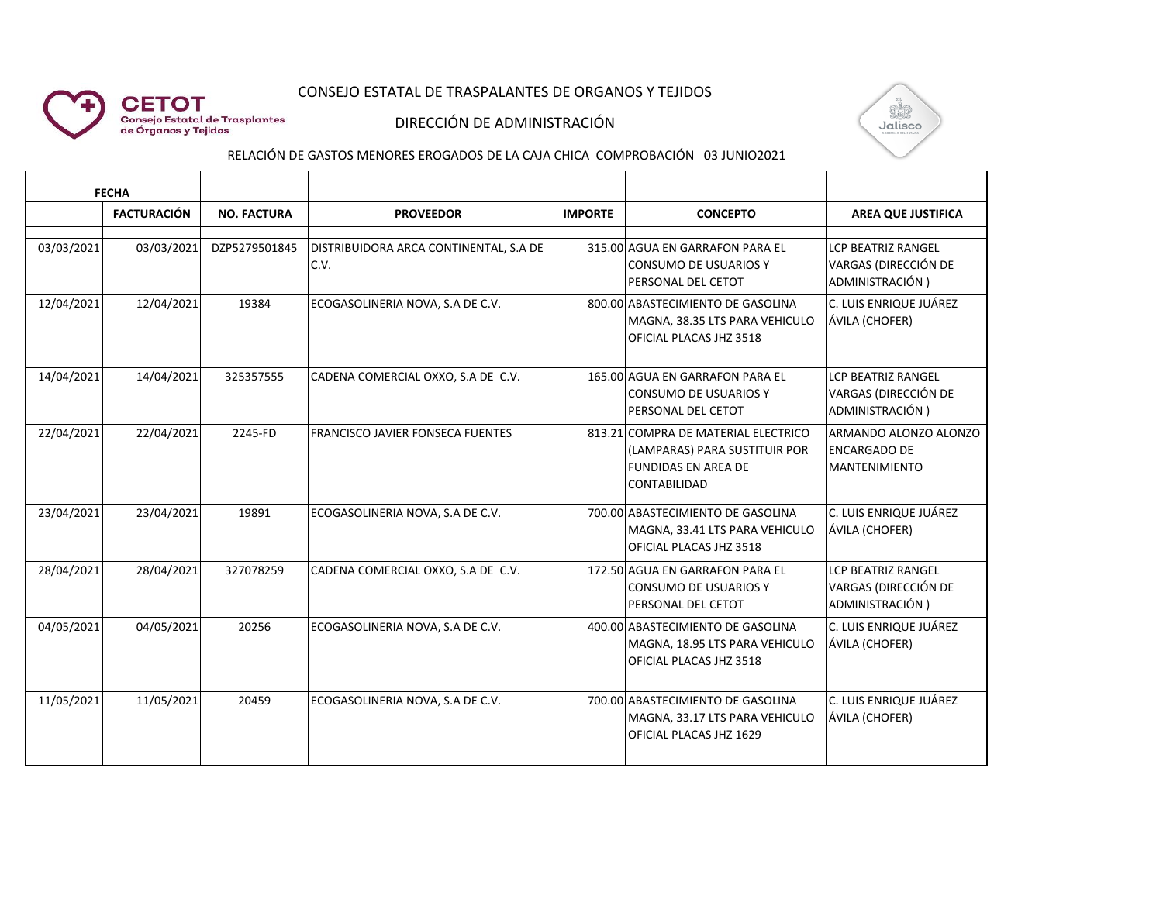## CONSEJO ESTATAL DE TRASPALANTES DE ORGANOS Y TEJIDOS



#### DIRECCIÓN DE ADMINISTRACIÓN



# RELACIÓN DE GASTOS MENORES EROGADOS DE LA CAJA CHICA COMPROBACIÓN 03 JUNIO2021

| <b>FECHA</b> |                    |                    |                                                |                |                                                                                                                    |                                                                      |
|--------------|--------------------|--------------------|------------------------------------------------|----------------|--------------------------------------------------------------------------------------------------------------------|----------------------------------------------------------------------|
|              | <b>FACTURACIÓN</b> | <b>NO. FACTURA</b> | <b>PROVEEDOR</b>                               | <b>IMPORTE</b> | <b>CONCEPTO</b>                                                                                                    | <b>AREA QUE JUSTIFICA</b>                                            |
| 03/03/2021   | 03/03/2021         | DZP5279501845      | DISTRIBUIDORA ARCA CONTINENTAL, S.A DE<br>C.V. |                | 315.00 AGUA EN GARRAFON PARA EL<br>CONSUMO DE USUARIOS Y<br>PERSONAL DEL CETOT                                     | <b>LCP BEATRIZ RANGEL</b><br>VARGAS (DIRECCIÓN DE<br>ADMINISTRACIÓN) |
| 12/04/2021   | 12/04/2021         | 19384              | ECOGASOLINERIA NOVA, S.A DE C.V.               |                | 800.00 ABASTECIMIENTO DE GASOLINA<br>MAGNA, 38.35 LTS PARA VEHICULO<br>OFICIAL PLACAS JHZ 3518                     | C. LUIS ENRIQUE JUÁREZ<br>ÁVILA (CHOFER)                             |
| 14/04/2021   | 14/04/2021         | 325357555          | CADENA COMERCIAL OXXO, S.A DE C.V.             |                | 165.00 AGUA EN GARRAFON PARA EL<br><b>CONSUMO DE USUARIOS Y</b><br>PERSONAL DEL CETOT                              | <b>LCP BEATRIZ RANGEL</b><br>VARGAS (DIRECCIÓN DE<br>ADMINISTRACIÓN) |
| 22/04/2021   | 22/04/2021         | 2245-FD            | <b>FRANCISCO JAVIER FONSECA FUENTES</b>        |                | 813.21 COMPRA DE MATERIAL ELECTRICO<br>(LAMPARAS) PARA SUSTITUIR POR<br><b>FUNDIDAS EN AREA DE</b><br>CONTABILIDAD | ARMANDO ALONZO ALONZO<br><b>ENCARGADO DE</b><br><b>MANTENIMIENTO</b> |
| 23/04/2021   | 23/04/2021         | 19891              | ECOGASOLINERIA NOVA, S.A DE C.V.               |                | 700.00 ABASTECIMIENTO DE GASOLINA<br>MAGNA, 33.41 LTS PARA VEHICULO<br>OFICIAL PLACAS JHZ 3518                     | C. LUIS ENRIQUE JUÁREZ<br>ÁVILA (CHOFER)                             |
| 28/04/2021   | 28/04/2021         | 327078259          | CADENA COMERCIAL OXXO, S.A DE C.V.             |                | 172.50 AGUA EN GARRAFON PARA EL<br><b>CONSUMO DE USUARIOS Y</b><br>PERSONAL DEL CETOT                              | <b>LCP BEATRIZ RANGEL</b><br>VARGAS (DIRECCIÓN DE<br>ADMINISTRACIÓN) |
| 04/05/2021   | 04/05/2021         | 20256              | ECOGASOLINERIA NOVA, S.A DE C.V.               |                | 400.00 ABASTECIMIENTO DE GASOLINA<br>MAGNA, 18.95 LTS PARA VEHICULO<br>OFICIAL PLACAS JHZ 3518                     | C. LUIS ENRIQUE JUÁREZ<br>ÁVILA (CHOFER)                             |
| 11/05/2021   | 11/05/2021         | 20459              | ECOGASOLINERIA NOVA, S.A DE C.V.               |                | 700.00 ABASTECIMIENTO DE GASOLINA<br>MAGNA, 33.17 LTS PARA VEHICULO<br>OFICIAL PLACAS JHZ 1629                     | C. LUIS ENRIQUE JUÁREZ<br>ÁVILA (CHOFER)                             |